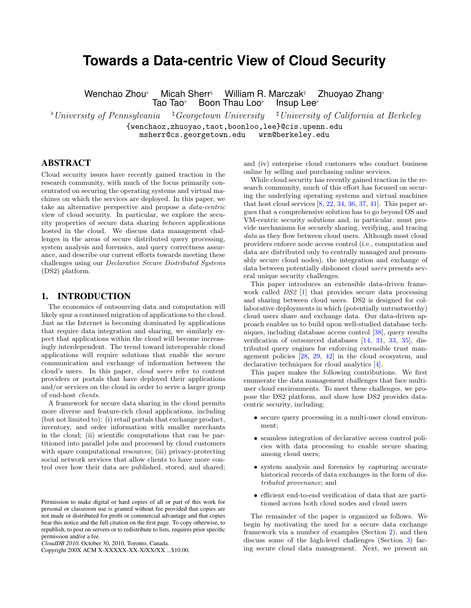# **Towards a Data-centric View of Cloud Security**

Wenchao Zhou<sup>,</sup> Micah Sherr<sup>t</sup> William R. Marczak<sup>\*</sup> Zhuoyao Zhang<sup>,</sup><br>Tao Tao<sup>,</sup> Boon Thau Loo<sup>,</sup> Insup Lee<sup>,</sup> Boon Thau Loo<sup>b</sup> Insup Lee<sup>t</sup>

<sup>b</sup> University of Pennsylvania  $\Box$ <sup>4</sup> Georgetown University  $\Box$ <sup>#</sup> University of California at Berkeley {wenchaoz,zhuoyao,taot,boonloo,lee}@cis.upenn.edu msherr@cs.georgetown.edu

# ABSTRACT

Cloud security issues have recently gained traction in the research community, with much of the focus primarily concentrated on securing the operating systems and virtual machines on which the services are deployed. In this paper, we take an alternative perspective and propose a data-centric view of cloud security. In particular, we explore the security properties of secure data sharing between applications hosted in the cloud. We discuss data management challenges in the areas of secure distributed query processing, system analysis and forensics, and query correctness assurance, and describe our current efforts towards meeting these challenges using our Declarative Secure Distributed Systems (DS2) platform.

## 1. INTRODUCTION

The economics of outsourcing data and computation will likely spur a continued migration of applications to the cloud. Just as the Internet is becoming dominated by applications that require data integration and sharing, we similarly expect that applications within the cloud will become increasingly interdependent. The trend toward interoperable cloud applications will require solutions that enable the secure communication and exchange of information between the cloud's users. In this paper, cloud users refer to content providers or portals that have deployed their applications and/or services on the cloud in order to serve a larger group of end-host clients.

A framework for secure data sharing in the cloud permits more diverse and feature-rich cloud applications, including (but not limited to): (i) retail portals that exchange product, inventory, and order information with smaller merchants in the cloud; (ii) scientific computations that can be partitioned into parallel jobs and processed by cloud customers with spare computational resources; (iii) privacy-protecting social network services that allow clients to have more control over how their data are published, stored, and shared;

Copyright 200X ACM X-XXXXX-XX-X/XX/XX ...\$10.00.

and (iv) enterprise cloud customers who conduct business online by selling and purchasing online services.

While cloud security has recently gained traction in the research community, much of this effort has focused on securing the underlying operating systems and virtual machines that host cloud services  $[8, 22, 34, 36, 37, 41]$  $[8, 22, 34, 36, 37, 41]$  $[8, 22, 34, 36, 37, 41]$  $[8, 22, 34, 36, 37, 41]$  $[8, 22, 34, 36, 37, 41]$  $[8, 22, 34, 36, 37, 41]$  $[8, 22, 34, 36, 37, 41]$  $[8, 22, 34, 36, 37, 41]$  $[8, 22, 34, 36, 37, 41]$  $[8, 22, 34, 36, 37, 41]$  $[8, 22, 34, 36, 37, 41]$ . This paper argues that a comprehensive solution has to go beyond OS and VM-centric security solutions and, in particular, must provide mechanisms for securely sharing, verifying, and tracing data as they flow between cloud users. Although most cloud providers enforce node access control (i.e., computation and data are distributed only to centrally managed and presumably secure cloud nodes), the integration and exchange of data between potentially dishonest cloud users presents several unique security challenges.

This paper introduces an extensible data-driven framework called DS2 [\[1\]](#page-7-6) that provides secure data processing and sharing between cloud users. DS2 is designed for collaborative deployments in which (potentially untrustworthy) cloud users share and exchange data. Our data-driven approach enables us to build upon well-studied database techniques, including database access control [\[38\]](#page-7-7), query results verification of outsourced databases [\[14,](#page-7-8) [31,](#page-7-9) [33,](#page-7-10) [35\]](#page-7-11), distributed query engines for enforcing extensible trust management policies [\[28,](#page-7-12) [29,](#page-7-13) [42\]](#page-7-14) in the cloud ecosystem, and declarative techniques for cloud analytics [\[4\]](#page-7-15).

This paper makes the following contributions. We first enumerate the data management challenges that face multiuser cloud environments. To meet these challenges, we propose the DS2 platform, and show how DS2 provides datacentric security, including:

- secure query processing in a multi-user cloud environment;
- seamless integration of declarative access control policies with data processing to enable secure sharing among cloud users;
- system analysis and forensics by capturing accurate historical records of data exchanges in the form of distributed provenance; and
- efficient end-to-end verification of data that are partitioned across both cloud nodes and cloud users

The remainder of the paper is organized as follows. We begin by motivating the need for a secure data exchange framework via a number of examples (Section [2\)](#page-1-0), and then discuss some of the high-level challenges (Section [3\)](#page-1-1) facing secure cloud data management. Next, we present an

Permission to make digital or hard copies of all or part of this work for personal or classroom use is granted without fee provided that copies are not made or distributed for profit or commercial advantage and that copies bear this notice and the full citation on the first page. To copy otherwise, to republish, to post on servers or to redistribute to lists, requires prior specific permission and/or a fee.

*CloudDB 2010,* October 30, 2010, Toronto, Canada.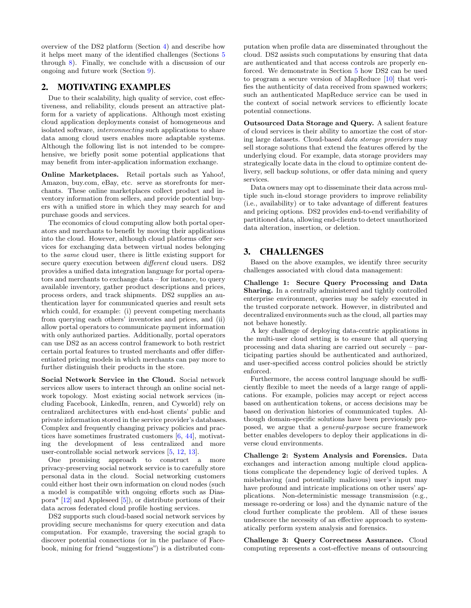overview of the DS2 platform (Section [4\)](#page-2-0) and describe how it helps meet many of the identified challenges (Sections [5](#page-2-1) through [8\)](#page-6-0). Finally, we conclude with a discussion of our ongoing and future work (Section [9\)](#page-6-1).

## <span id="page-1-0"></span>2. MOTIVATING EXAMPLES

Due to their scalability, high quality of service, cost effectiveness, and reliability, clouds present an attractive platform for a variety of applications. Although most existing cloud application deployments consist of homogeneous and isolated software, interconnecting such applications to share data among cloud users enables more adaptable systems. Although the following list is not intended to be comprehensive, we briefly posit some potential applications that may benefit from inter-application information exchange.

Online Marketplaces. Retail portals such as Yahoo!, Amazon, buy.com, eBay, etc. serve as storefronts for merchants. These online marketplaces collect product and inventory information from sellers, and provide potential buyers with a unified store in which they may search for and purchase goods and services.

The economics of cloud computing allow both portal operators and merchants to benefit by moving their applications into the cloud. However, although cloud platforms offer services for exchanging data between virtual nodes belonging to the same cloud user, there is little existing support for secure query execution between *different* cloud users. DS2 provides a unified data integration language for portal operators and merchants to exchange data – for instance, to query available inventory, gather product descriptions and prices, process orders, and track shipments. DS2 supplies an authentication layer for communicated queries and result sets which could, for example: (i) prevent competing merchants from querying each others' inventories and prices, and (ii) allow portal operators to communicate payment information with only authorized parties. Additionally, portal operators can use DS2 as an access control framework to both restrict certain portal features to trusted merchants and offer differentiated pricing models in which merchants can pay more to further distinguish their products in the store.

Social Network Service in the Cloud. Social network services allow users to interact through an online social network topology. Most existing social network services (including Facebook, LinkedIn, renren, and Cyworld) rely on centralized architectures with end-host clients' public and private information stored in the service provider's databases. Complex and frequently changing privacy policies and practices have sometimes frustrated customers [\[6,](#page-7-16) [44\]](#page-7-17), motivating the development of less centralized and more user-controllable social network services [\[5,](#page-7-18) [12,](#page-7-19) [13\]](#page-7-20).

One promising approach to construct a more privacy-preserving social network service is to carefully store personal data in the cloud. Social networking customers could either host their own information on cloud nodes (such a model is compatible with ongoing efforts such as Dias $pora*$  [\[12\]](#page-7-19) and Appleseed [\[5\]](#page-7-18)), or distribute portions of their data across federated cloud profile hosting services.

DS2 supports such cloud-based social network services by providing secure mechanisms for query execution and data computation. For example, traversing the social graph to discover potential connections (or in the parlance of Facebook, mining for friend "suggestions") is a distributed computation when profile data are disseminated throughout the cloud. DS2 assists such computations by ensuring that data are authenticated and that access controls are properly enforced. We demonstrate in Section [5](#page-2-1) how DS2 can be used to program a secure version of MapReduce [\[10\]](#page-7-21) that verifies the authenticity of data received from spawned workers; such an authenticated MapReduce service can be used in the context of social network services to efficiently locate potential connections.

Outsourced Data Storage and Query. A salient feature of cloud services is their ability to amortize the cost of storing large datasets. Cloud-based data storage providers may sell storage solutions that extend the features offered by the underlying cloud. For example, data storage providers may strategically locate data in the cloud to optimize content delivery, sell backup solutions, or offer data mining and query services.

Data owners may opt to disseminate their data across multiple such in-cloud storage providers to improve reliability (i.e., availability) or to take advantage of different features and pricing options. DS2 provides end-to-end verifiability of partitioned data, allowing end-clients to detect unauthorized data alteration, insertion, or deletion.

# <span id="page-1-1"></span>3. CHALLENGES

Based on the above examples, we identify three security challenges associated with cloud data management:

Challenge 1: Secure Query Processing and Data Sharing. In a centrally administered and tightly controlled enterprise environment, queries may be safely executed in the trusted corporate network. However, in distributed and decentralized environments such as the cloud, all parties may not behave honestly.

A key challenge of deploying data-centric applications in the multi-user cloud setting is to ensure that all querying processing and data sharing are carried out securely – participating parties should be authenticated and authorized, and user-specified access control policies should be strictly enforced.

Furthermore, the access control language should be sufficiently flexible to meet the needs of a large range of applications. For example, policies may accept or reject access based on authentication tokens, or access decisions may be based on derivation histories of communicated tuples. Although domain-specific solutions have been previously proposed, we argue that a general-purpose secure framework better enables developers to deploy their applications in diverse cloud environments.

Challenge 2: System Analysis and Forensics. Data exchanges and interaction among multiple cloud applications complicate the dependency logic of derived tuples. A misbehaving (and potentially malicious) user's input may have profound and intricate implications on other users' applications. Non-deterministic message transmission (e.g., message re-ordering or loss) and the dynamic nature of the cloud further complicate the problem. All of these issues underscore the necessity of an effective approach to systematically perform system analysis and forensics.

Challenge 3: Query Correctness Assurance. Cloud computing represents a cost-effective means of outsourcing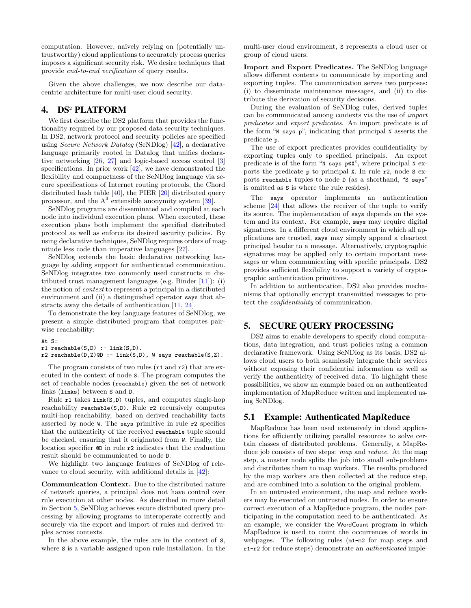computation. However, naïvely relying on (potentially untrustworthy) cloud applications to accurately process queries imposes a significant security risk. We desire techniques that provide end-to-end verification of query results.

Given the above challenges, we now describe our datacentric architecture for multi-user cloud security.

# <span id="page-2-0"></span>4. DS<sup>2</sup> PLATFORM

We first describe the DS2 platform that provides the functionality required by our proposed data security techniques. In DS2, network protocol and security policies are specified using Secure Network Datalog (SeNDlog) [\[42\]](#page-7-14), a declarative language primarily rooted in Datalog that unifies declarative networking [\[26,](#page-7-22) [27\]](#page-7-23) and logic-based access control [\[3\]](#page-7-24) specifications. In prior work [\[42\]](#page-7-14), we have demonstrated the flexibility and compactness of the SeNDlog language via secure specifications of Internet routing protocols, the Chord distributed hash table [\[40\]](#page-7-25), the PIER [\[20\]](#page-7-26) distributed query processor, and the  $A<sup>3</sup>$  extensible anonymity system [\[39\]](#page-7-27).

SeNDlog programs are disseminated and compiled at each node into individual execution plans. When executed, these execution plans both implement the specified distributed protocol as well as enforce its desired security policies. By using declarative techniques, SeNDlog requires orders of magnitude less code than imperative languages [\[27\]](#page-7-23).

SeNDlog extends the basic declarative networking language by adding support for authenticated communication. SeNDlog integrates two commonly used constructs in distributed trust management languages (e.g. Binder [\[11\]](#page-7-28)): (i) the notion of context to represent a principal in a distributed environment and (ii) a distinguished operator says that abstracts away the details of authentication [\[11,](#page-7-28) [24\]](#page-7-29).

To demonstrate the key language features of SeNDlog, we present a simple distributed program that computes pairwise reachability:

#### At S:

```
r1 reachable(S,D) :- link(S,D).
```

```
r2 reachable(D,Z)@D :- link(S,D), W says reachable(S,Z).
```
The program consists of two rules (r1 and r2) that are executed in the context of node S. The program computes the set of reachable nodes (reachable) given the set of network links (links) between S and D.

Rule r1 takes link(S,D) tuples, and computes single-hop reachability reachable(S,D). Rule r2 recursively computes multi-hop reachability, based on derived reachability facts asserted by node W. The says primitive in rule r2 specifies that the authenticity of the received reachable tuple should be checked, ensuring that it originated from W. Finally, the location specifier @D in rule r2 indicates that the evaluation result should be communicated to node D.

We highlight two language features of SeNDlog of relevance to cloud security, with additional details in [\[42\]](#page-7-14):

Communication Context. Due to the distributed nature of network queries, a principal does not have control over rule execution at other nodes. As described in more detail in Section [5,](#page-2-1) SeNDlog achieves secure distributed query processing by allowing programs to interoperate correctly and securely via the export and import of rules and derived tuples across contexts.

In the above example, the rules are in the context of S, where S is a variable assigned upon rule installation. In the multi-user cloud environment, S represents a cloud user or group of cloud users.

Import and Export Predicates. The SeNDlog language allows different contexts to communicate by importing and exporting tuples. The communication serves two purposes: (i) to disseminate maintenance messages, and (ii) to distribute the derivation of security decisions.

During the evaluation of SeNDlog rules, derived tuples can be communicated among contexts via the use of import predicates and export predicates. An import predicate is of the form "N says p", indicating that principal N asserts the predicate p.

The use of export predicates provides confidentiality by exporting tuples only to specified principals. An export predicate is of the form "N says p@X", where principal N exports the predicate p to principal X. In rule r2, node S exports reachable tuples to node D (as a shorthand, "S says" is omitted as S is where the rule resides).

The says operator implements an authentication scheme [\[24\]](#page-7-29) that allows the receiver of the tuple to verify its source. The implementation of says depends on the system and its context. For example, says may require digital signatures. In a different cloud environment in which all applications are trusted, says may simply append a cleartext principal header to a message. Alternatively, cryptographic signatures may be applied only to certain important messages or when communicating with specific principals. DS2 provides sufficient flexibility to support a variety of cryptographic authentication primitives.

In addition to authentication, DS2 also provides mechanisms that optionally encrypt transmitted messages to protect the confidentiality of communication.

### <span id="page-2-1"></span>5. SECURE QUERY PROCESSING

DS2 aims to enable developers to specify cloud computations, data integration, and trust policies using a common declarative framework. Using SeNDlog as its basis, DS2 allows cloud users to both seamlessly integrate their services without exposing their confidential information as well as verify the authenticity of received data. To highlight these possibilities, we show an example based on an authenticated implementation of MapReduce written and implemented using SeNDlog.

## 5.1 Example: Authenticated MapReduce

MapReduce has been used extensively in cloud applications for efficiently utilizing parallel resources to solve certain classes of distributed problems. Generally, a MapReduce job consists of two steps: map and reduce. At the map step, a master node splits the job into small sub-problems and distributes them to map workers. The results produced by the map workers are then collected at the reduce step, and are combined into a solution to the original problem.

In an untrusted environment, the map and reduce workers may be executed on untrusted nodes. In order to ensure correct execution of a MapReduce program, the nodes participating in the computation need to be authenticated. As an example, we consider the WordCount program in which MapReduce is used to count the occurrences of words in webpages. The following rules (m1-m2 for map steps and r1-r2 for reduce steps) demonstrate an authenticated imple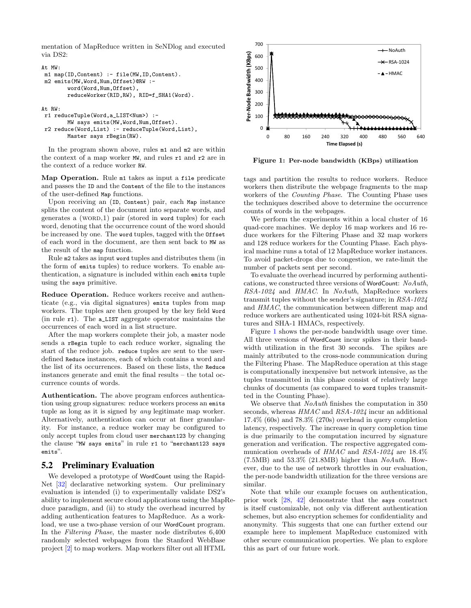mentation of MapReduce written in SeNDlog and executed via DS2:

```
At MW:
m1 map(ID,Content) :- file(MW,ID,Content).
m2 emits(MW,Word,Num,Offset)@RW :-
        word(Word,Num,Offset),
        reduceWorker(RID,RW), RID=f_SHA1(Word).
```
At RW:

```
r1 reduceTuple(Word,a_LIST<Num>) :-
       MW says emits(MW,Word,Num,Offset).
r2 reduce(Word,List) :- reduceTuple(Word,List),
       Master says rBegin(RW).
```
In the program shown above, rules m1 and m2 are within the context of a map worker MW, and rules r1 and r2 are in the context of a reduce worker RW.

Map Operation. Rule m1 takes as input a file predicate and passes the ID and the Content of the file to the instances of the user-defined Map functions.

Upon receiving an (ID, Content) pair, each Map instance splits the content of the document into separate words, and generates a  $(WORD,1)$  pair (stored in word tuples) for each word, denoting that the occurrence count of the word should be increased by one. The word tuples, tagged with the Offset of each word in the document, are then sent back to MW as the result of the map function.

Rule m2 takes as input word tuples and distributes them (in the form of emits tuples) to reduce workers. To enable authentication, a signature is included within each emits tuple using the says primitive.

Reduce Operation. Reduce workers receive and authenticate (e.g., via digital signatures) emits tuples from map workers. The tuples are then grouped by the key field Word (in rule r1). The a\_LIST aggregate operator maintains the occurrences of each word in a list structure.

After the map workers complete their job, a master node sends a rBegin tuple to each reduce worker, signaling the start of the reduce job. reduce tuples are sent to the userdefined Reduce instances, each of which contains a word and the list of its occurrences. Based on these lists, the Reduce instances generate and emit the final results – the total occurrence counts of words.

Authentication. The above program enforces authentication using group signatures: reduce workers process an emits tuple as long as it is signed by any legitimate map worker. Alternatively, authentication can occur at finer granularity. For instance, a reduce worker may be configured to only accept tuples from cloud user merchant123 by changing the clause "MW says emits" in rule r1 to "merchant123 says emits".

#### 5.2 Preliminary Evaluation

We developed a prototype of WordCount using the Rapid-Net [\[32\]](#page-7-30) declarative networking system. Our preliminary evaluation is intended (i) to experimentally validate DS2's ability to implement secure cloud applications using the MapReduce paradigm, and (ii) to study the overhead incurred by adding authentication features to MapReduce. As a workload, we use a two-phase version of our WordCount program. In the Filtering Phase, the master node distributes 6,400 randomly selected webpages from the Stanford WebBase project [\[2\]](#page-7-31) to map workers. Map workers filter out all HTML



<span id="page-3-0"></span>Figure 1: Per-node bandwidth (KBps) utilization

tags and partition the results to reduce workers. Reduce workers then distribute the webpage fragments to the map workers of the Counting Phase. The Counting Phase uses the techniques described above to determine the occurrence counts of words in the webpages.

We perform the experiments within a local cluster of 16 quad-core machines. We deploy 16 map workers and 16 reduce workers for the Filtering Phase and 32 map workers and 128 reduce workers for the Counting Phase. Each physical machine runs a total of 12 MapReduce worker instances. To avoid packet-drops due to congestion, we rate-limit the number of packets sent per second.

To evaluate the overhead incurred by performing authentications, we constructed three versions of WordCount: NoAuth, RSA-1024 and HMAC. In NoAuth, MapReduce workers transmit tuples without the sender's signature; in RSA-1024 and HMAC, the communication between different map and reduce workers are authenticated using 1024-bit RSA signatures and SHA-1 HMACs, respectively.

Figure [1](#page-3-0) shows the per-node bandwidth usage over time. All three versions of WordCount incur spikes in their bandwidth utilization in the first 30 seconds. The spikes are mainly attributed to the cross-node communication during the Filtering Phase. The MapReduce operation at this stage is computationally inexpensive but network intensive, as the tuples transmitted in this phase consist of relatively large chunks of documents (as compared to word tuples transmitted in the Counting Phase).

We observe that *NoAuth* finishes the computation in 350 seconds, whereas  $HMAC$  and  $RSA-1024$  incur an additional 17.4% (60s) and 78.3% (270s) overhead in query completion latency, respectively. The increase in query completion time is due primarily to the computation incurred by signature generation and verification. The respective aggregated communication overheads of HMAC and RSA-1024 are 18.4%  $(7.5MB)$  and  $53.3\%$   $(21.8MB)$  higher than  $NoAuth$ . However, due to the use of network throttles in our evaluation, the per-node bandwidth utilization for the three versions are similar.

Note that while our example focuses on authentication, prior work [\[28,](#page-7-12) [42\]](#page-7-14) demonstrate that the says construct is itself customizable, not only via different authentication schemes, but also encryption schemes for confidentiality and anonymity. This suggests that one can further extend our example here to implement MapReduce customized with other secure communication properties. We plan to explore this as part of our future work.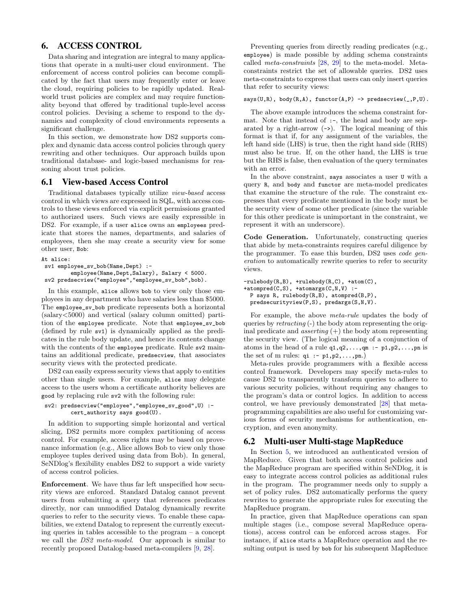# 6. ACCESS CONTROL

Data sharing and integration are integral to many applications that operate in a multi-user cloud environment. The enforcement of access control policies can become complicated by the fact that users may frequently enter or leave the cloud, requiring policies to be rapidly updated. Realworld trust policies are complex and may require functionality beyond that offered by traditional tuple-level access control policies. Devising a scheme to respond to the dynamics and complexity of cloud environments represents a significant challenge.

In this section, we demonstrate how DS2 supports complex and dynamic data access control policies through query rewriting and other techniques. Our approach builds upon traditional database- and logic-based mechanisms for reasoning about trust policies.

#### 6.1 View-based Access Control

Traditional databases typically utilize view-based access control in which views are expressed in SQL, with access controls to these views enforced via explicit permissions granted to authorized users. Such views are easily expressible in DS2. For example, if a user alice owns an employees predicate that stores the names, departments, and salaries of employees, then she may create a security view for some other user, Bob:

```
At alice:
sv1 employee_sv_bob(Name,Dept) :-
         employee(Name,Dept,Salary), Salary < 5000.
sv2 predsecview("employee","employee_sv_bob",bob).
```
In this example, alice allows bob to view only those employees in any department who have salaries less than \$5000. The employee\_sv\_bob predicate represents both a horizontal (salary<5000) and vertical (salary column omitted) partition of the employee predicate. Note that employee\_sv\_bob (defined by rule sv1) is dynamically applied as the predicates in the rule body update, and hence its contents change with the contents of the employee predicate. Rule sv2 maintains an additional predicate, predsecview, that associates security views with the protected predicate.

DS2 can easily express security views that apply to entities other than single users. For example, alice may delegate access to the users whom a certificate authority believes are good by replacing rule sv2 with the following rule:

```
sv2: predsecview("employee","employee_sv_good",U) :-
        cert_authority says good(U).
```
In addition to supporting simple horizontal and vertical slicing, DS2 permits more complex partitioning of access control. For example, access rights may be based on provenance information (e.g., Alice allows Bob to view only those employee tuples derived using data from Bob). In general, SeNDlog's flexibility enables DS2 to support a wide variety of access control policies.

Enforcement. We have thus far left unspecified how security views are enforced. Standard Datalog cannot prevent users from submitting a query that references predicates directly, nor can unmodified Datalog dynamically rewrite queries to refer to the security views. To enable these capabilities, we extend Datalog to represent the currently executing queries in tables accessible to the program – a concept we call the DS2 meta-model. Our approach is similar to recently proposed Datalog-based meta-compilers [\[9,](#page-7-32) [28\]](#page-7-12).

Preventing queries from directly reading predicates (e.g., employee) is made possible by adding schema constraints called meta-constraints [\[28,](#page-7-12) [29\]](#page-7-13) to the meta-model. Metaconstraints restrict the set of allowable queries. DS2 uses meta-constraints to express that users can only insert queries that refer to security views:

#### $says(U,R)$ ,  $body(R,A)$ ,  $functor(A,P) \rightarrow predsecview(\_,P,U)$ .

The above example introduces the schema constraint format. Note that instead of :-, the head and body are separated by a right-arrow  $(-)$ . The logical meaning of this format is that if, for any assignment of the variables, the left hand side (LHS) is true, then the right hand side (RHS) must also be true. If, on the other hand, the LHS is true but the RHS is false, then evaluation of the query terminates with an error.

In the above constraint, says associates a user U with a query R, and body and functor are meta-model predicates that examine the structure of the rule. The constraint expresses that every predicate mentioned in the body must be the security view of some other predicate (since the variable for this other predicate is unimportant in the constraint, we represent it with an underscore).

Code Generation. Unfortunately, constructing queries that abide by meta-constraints requires careful diligence by the programmer. To ease this burden, DS2 uses code generation to automatically rewrite queries to refer to security views.

```
-rulebody(R,B), +rulebody(R,C), +atom(C),
+atompred(C, S), +atomargs(C, N, V) :-
 P says R, rulebody(R,B), atompred(B,P),
 predsecurityview(P,S), predargs(S,N,V).
```
For example, the above meta-rule updates the body of queries by retracting (-) the body atom representing the original predicate and *asserting*  $(+)$  the body atom representing the security view. (The logical meaning of a conjunction of atoms in the head of a rule  $q1,q2,\ldots,qm$  :-  $p1,p2,\ldots,pn$  is the set of m rules:  $qi : -p1, p2, \ldots, pn.$ 

Meta-rules provide programmers with a flexible access control framework. Developers may specify meta-rules to cause DS2 to transparently transform queries to adhere to various security policies, without requiring any changes to the program's data or control logics. In addition to access control, we have previously demonstrated [\[28\]](#page-7-12) that metaprogramming capabilities are also useful for customizing various forms of security mechanisms for authentication, encryption, and even anonymity.

#### 6.2 Multi-user Multi-stage MapReduce

In Section [5,](#page-2-1) we introduced an authenticated version of MapReduce. Given that both access control policies and the MapReduce program are specified within SeNDlog, it is easy to integrate access control policies as additional rules in the program. The programmer needs only to supply a set of policy rules. DS2 automatically performs the query rewrites to generate the appropriate rules for executing the MapReduce program.

In practice, given that MapReduce operations can span multiple stages (i.e., compose several MapReduce operations), access control can be enforced across stages. For instance, if alice starts a MapReduce operation and the resulting output is used by bob for his subsequent MapReduce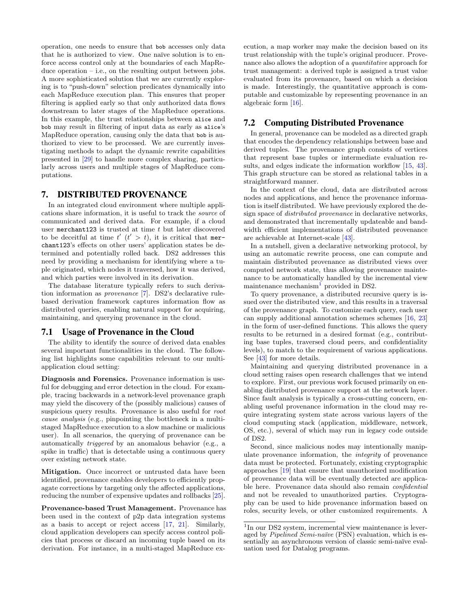operation, one needs to ensure that bob accesses only data that he is authorized to view. One naïve solution is to enforce access control only at the boundaries of each MapReduce operation – i.e., on the resulting output between jobs. A more sophisticated solution that we are currently exploring is to "push-down" selection predicates dynamically into each MapReduce execution plan. This ensures that proper filtering is applied early so that only authorized data flows downstream to later stages of the MapReduce operations. In this example, the trust relationships between alice and bob may result in filtering of input data as early as alice's MapReduce operation, causing only the data that bob is authorized to view to be processed. We are currently investigating methods to adapt the dynamic rewrite capabilities presented in [\[29\]](#page-7-13) to handle more complex sharing, particularly across users and multiple stages of MapReduce computations.

### 7. DISTRIBUTED PROVENANCE

In an integrated cloud environment where multiple applications share information, it is useful to track the source of communicated and derived data. For example, if a cloud user merchant123 is trusted at time  $t$  but later discovered to be deceitful at time  $t'$   $(t' > t)$ , it is critical that merchant123's effects on other users' application states be determined and potentially rolled back. DS2 addresses this need by providing a mechanism for identifying where a tuple originated, which nodes it traversed, how it was derived, and which parties were involved in its derivation.

The database literature typically refers to such derivation information as provenance [\[7\]](#page-7-33). DS2's declarative rulebased derivation framework captures information flow as distributed queries, enabling natural support for acquiring, maintaining, and querying provenance in the cloud.

#### 7.1 Usage of Provenance in the Cloud

The ability to identify the source of derived data enables several important functionalities in the cloud. The following list highlights some capabilities relevant to our multiapplication cloud setting:

Diagnosis and Forensics. Provenance information is useful for debugging and error detection in the cloud. For example, tracing backwards in a network-level provenance graph may yield the discovery of the (possibly malicious) causes of suspicious query results. Provenance is also useful for root cause analysis (e.g., pinpointing the bottleneck in a multistaged MapReduce execution to a slow machine or malicious user). In all scenarios, the querying of provenance can be automatically triggered by an anomalous behavior (e.g., a spike in traffic) that is detectable using a continuous query over existing network state.

Mitigation. Once incorrect or untrusted data have been identified, provenance enables developers to efficiently propagate corrections by targeting only the affected applications, reducing the number of expensive updates and rollbacks [\[25\]](#page-7-34). ecution, a map worker may make the decision based on its trust relationship with the tuple's original producer. Provenance also allows the adoption of a quantitative approach for trust management: a derived tuple is assigned a trust value evaluated from its provenance, based on which a decision is made. Interestingly, the quantitative approach is computable and customizable by representing provenance in an algebraic form [\[16\]](#page-7-37).

### 7.2 Computing Distributed Provenance

In general, provenance can be modeled as a directed graph that encodes the dependency relationships between base and derived tuples. The provenance graph consists of vertices that represent base tuples or intermediate evaluation re-sults, and edges indicate the information workflow [\[15,](#page-7-38) [43\]](#page-7-39). This graph structure can be stored as relational tables in a straightforward manner.

In the context of the cloud, data are distributed across nodes and applications, and hence the provenance information is itself distributed. We have previously explored the design space of distributed provenance in declarative networks, and demonstrated that incrementally updateable and bandwidth efficient implementations of distributed provenance are achievable at Internet-scale [\[43\]](#page-7-39).

In a nutshell, given a declarative networking protocol, by using an automatic rewrite process, one can compute and maintain distributed provenance as distributed views over computed network state, thus allowing provenance maintenance to be automatically handled by the incremental view maintenance mechanism<sup>[1](#page-5-0)</sup> provided in DS2.

To query provenance, a distributed recursive query is issued over the distributed view, and this results in a traversal of the provenance graph. To customize each query, each user can supply additional annotation schemes schemes [\[16,](#page-7-37) [23\]](#page-7-40) in the form of user-defined functions. This allows the query results to be returned in a desired format (e.g., contributing base tuples, traversed cloud peers, and confidentiality levels), to match to the requirement of various applications. See [\[43\]](#page-7-39) for more details.

Maintaining and querying distributed provenance in a cloud setting raises open research challenges that we intend to explore. First, our previous work focused primarily on enabling distributed provenance support at the network layer. Since fault analysis is typically a cross-cutting concern, enabling useful provenance information in the cloud may require integrating system state across various layers of the cloud computing stack (application, middleware, network, OS, etc.), several of which may run in legacy code outside of DS2.

Second, since malicious nodes may intentionally manipulate provenance information, the integrity of provenance data must be protected. Fortunately, existing cryptographic approaches [\[19\]](#page-7-41) that ensure that unauthorized modification of provenance data will be eventually detected are applicable here. Provenance data should also remain confidential and not be revealed to unauthorized parties. Cryptography can be used to hide provenance information based on roles, security levels, or other customized requirements. A

Provenance-based Trust Management. Provenance has been used in the context of p2p data integration systems as a basis to accept or reject access [\[17,](#page-7-35) [21\]](#page-7-36). Similarly, cloud application developers can specify access control policies that process or discard an incoming tuple based on its derivation. For instance, in a multi-staged MapReduce ex-

<span id="page-5-0"></span><sup>&</sup>lt;sup>1</sup>In our DS2 system, incremental view maintenance is leveraged by  $Pipelined\ Semi-naïve$  (PSN) evaluation, which is essentially an asynchronous version of classic semi-naïve evaluation used for Datalog programs.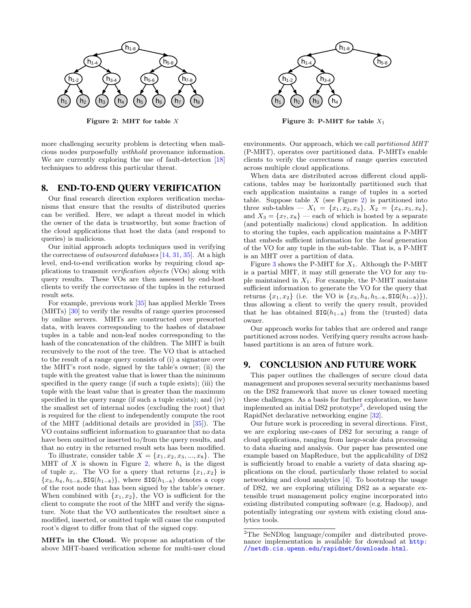

Figure 2: MHT for table  $X$ 

more challenging security problem is detecting when malicious nodes purposefully withhold provenance information. We are currently exploring the use of fault-detection [\[18\]](#page-7-42) techniques to address this particular threat.

## <span id="page-6-0"></span>8. END-TO-END QUERY VERIFICATION

Our final research direction explores verification mechanisms that ensure that the results of distributed queries can be verified. Here, we adapt a threat model in which the owner of the data is trustworthy, but some fraction of the cloud applications that host the data (and respond to queries) is malicious.

Our initial approach adopts techniques used in verifying the correctness of outsourced databases [\[14,](#page-7-8) [31,](#page-7-9) [35\]](#page-7-11). At a high level, end-to-end verification works by requiring cloud applications to transmit verification objects (VOs) along with query results. These VOs are then assessed by end-host clients to verify the correctness of the tuples in the returned result sets.

For example, previous work [\[35\]](#page-7-11) has applied Merkle Trees (MHTs) [\[30\]](#page-7-43) to verify the results of range queries processed by online servers. MHTs are constructed over presorted data, with leaves corresponding to the hashes of database tuples in a table and non-leaf nodes corresponding to the hash of the concatenation of the children. The MHT is built recursively to the root of the tree. The VO that is attached to the result of a range query consists of (i) a signature over the MHT's root node, signed by the table's owner; (ii) the tuple with the greatest value that is lower than the minimum specified in the query range (if such a tuple exists); (iii) the tuple with the least value that is greater than the maximum specified in the query range (if such a tuple exists); and (iv) the smallest set of internal nodes (excluding the root) that is required for the client to independently compute the root of the MHT (additional details are provided in [\[35\]](#page-7-11)). The VO contains sufficient information to guarantee that no data have been omitted or inserted to/from the query results, and that no entry in the returned result sets has been modified.

To illustrate, consider table  $X = \{x_1, x_2, x_3, ..., x_8\}$ . The MHT of X is shown in Figure [2,](#page-6-2) where  $h_i$  is the digest of tuple  $x_i$ . The VO for a query that returns  $\{x_1, x_2\}$  is  ${x_3, h_4, h_{5-8}, \text{SIG}(h_{1-8})}$ , where SIG( $h_{1-8}$ ) denotes a copy of the root node that has been signed by the table's owner. When combined with  $\{x_1, x_2\}$ , the VO is sufficient for the client to compute the root of the MHT and verify the signature. Note that the VO authenticates the resultset since a modified, inserted, or omitted tuple will cause the computed root's digest to differ from that of the signed copy.

MHTs in the Cloud. We propose an adaptation of the above MHT-based verification scheme for multi-user cloud



<span id="page-6-3"></span>Figure 3: P-MHT for table  $X_1$ 

<span id="page-6-2"></span>environments. Our approach, which we call *partitioned MHT* (P-MHT), operates over partitioned data. P-MHTs enable clients to verify the correctness of range queries executed across multiple cloud applications.

When data are distributed across different cloud applications, tables may be horizontally partitioned such that each application maintains a range of tuples in a sorted table. Suppose table  $X$  (see Figure [2\)](#page-6-2) is partitioned into three sub-tables —  $X_1 = \{x_1, x_2, x_3\}, X_2 = \{x_4, x_5, x_6\},$ and  $X_3 = \{x_7, x_8\}$  — each of which is hosted by a separate (and potentially malicious) cloud application. In addition to storing the tuples, each application maintains a P-MHT that embeds sufficient information for the local generation of the VO for any tuple in the sub-table. That is, a P-MHT is an MHT over a partition of data.

Figure [3](#page-6-3) shows the P-MHT for  $X_1$ . Although the P-MHT is a partial MHT, it may still generate the VO for any tuple maintained in  $X_1$ . For example, the P-MHT maintains sufficient information to generate the VO for the query that returns  $\{x_1, x_2\}$  (i.e. the VO is  $\{x_3, h_4, h_{5-8}, \text{SIG}(h_{1-8})\}\)$ , thus allowing a client to verify the query result, provided that he has obtained  $\text{SIG}(h_{1-8})$  from the (trusted) data owner.

Our approach works for tables that are ordered and range partitioned across nodes. Verifying query results across hashbased partitions is an area of future work.

#### <span id="page-6-1"></span>9. CONCLUSION AND FUTURE WORK

This paper outlines the challenges of secure cloud data management and proposes several security mechanisms based on the DS2 framework that move us closer toward meeting these challenges. As a basis for further exploration, we have implemented an initial DS[2](#page-6-4) prototype<sup>2</sup>, developed using the RapidNet declarative networking engine [\[32\]](#page-7-30).

Our future work is proceeding in several directions. First, we are exploring use-cases of DS2 for securing a range of cloud applications, ranging from large-scale data processing to data sharing and analysis. Our paper has presented one example based on MapReduce, but the applicability of DS2 is sufficiently broad to enable a variety of data sharing applications on the cloud, particularly those related to social networking and cloud analytics [\[4\]](#page-7-15). To bootstrap the usage of DS2, we are exploring utilizing DS2 as a separate extensible trust management policy engine incorporated into existing distributed computing software (e.g. Hadoop), and potentially integrating our system with existing cloud analytics tools.

<span id="page-6-4"></span><sup>2</sup>The SeNDlog language/compiler and distributed provenance implementation is available for download at [http:](http://netdb.cis.upenn.edu/rapidnet/downloads.html) [//netdb.cis.upenn.edu/rapidnet/downloads.html](http://netdb.cis.upenn.edu/rapidnet/downloads.html).